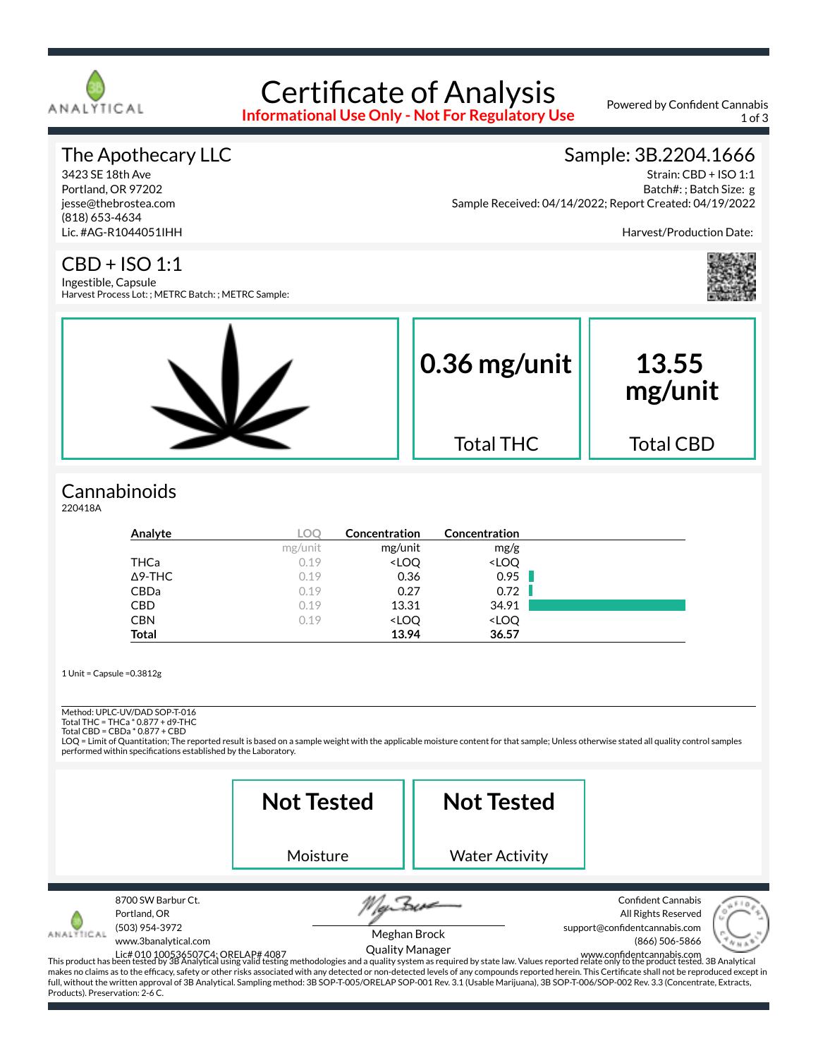

# Certificate of Analysis

**Informational Use Only - Not For Regulatory Use**

Powered by Confident Cannabis 1 of 3

#### The Apothecary LLC

3423 SE 18th Ave Portland, OR 97202 jesse@thebrostea.com (818) 653-4634 Lic. #AG-R1044051IHH

#### Sample: 3B.2204.1666

Strain: CBD + ISO 1:1 Batch#: ; Batch Size: g Sample Received: 04/14/2022; Report Created: 04/19/2022

Harvest/Production Date:

# CBD + ISO 1:1

Ingestible, Capsule Harvest Process Lot: ; METRC Batch: ; METRC Sample:



#### **Cannabinoids**

220418A

| Analyte        | LOC     | Concentration                                            | <b>Concentration</b>         |  |
|----------------|---------|----------------------------------------------------------|------------------------------|--|
|                | mg/unit | mg/unit                                                  | mg/g                         |  |
| THCa           | 0.19    | <loq< td=""><td><loq< td=""><td></td></loq<></td></loq<> | <loq< td=""><td></td></loq<> |  |
| $\Delta$ 9-THC | 0.19    | 0.36                                                     | 0.95                         |  |
| CBDa           | 0.19    | 0.27                                                     | 0.72                         |  |
| <b>CBD</b>     | 0.19    | 13.31                                                    | 34.91                        |  |
| <b>CBN</b>     | 0.19    | <loq< td=""><td><loq< td=""><td></td></loq<></td></loq<> | <loq< td=""><td></td></loq<> |  |
| <b>Total</b>   |         | 13.94                                                    | 36.57                        |  |

1 Unit = Capsule =0.3812g

Method: UPLC-UV/DAD SOP-T-016

Total THC = THCa \* 0.877 + d9-THC Total CBD = CBDa \* 0.877 + CBD

LOQ = Limit of Quantitation; The reported result is based on a sample weight with the applicable moisture content for that sample; Unless otherwise stated all quality control samples performed within specifications established by the Laboratory.

|                                              |                                                                              | <b>Not Tested</b> | <b>Not Tested</b>                      |                                                                                                                                                                                                                                                                                                                                                                                                                                                                                                                                                                                                                                                                                                                                        |
|----------------------------------------------|------------------------------------------------------------------------------|-------------------|----------------------------------------|----------------------------------------------------------------------------------------------------------------------------------------------------------------------------------------------------------------------------------------------------------------------------------------------------------------------------------------------------------------------------------------------------------------------------------------------------------------------------------------------------------------------------------------------------------------------------------------------------------------------------------------------------------------------------------------------------------------------------------------|
|                                              |                                                                              | Moisture          | <b>Water Activity</b>                  |                                                                                                                                                                                                                                                                                                                                                                                                                                                                                                                                                                                                                                                                                                                                        |
| NALYTICAL<br>Products). Preservation: 2-6 C. | 8700 SW Barbur Ct.<br>Portland, OR<br>(503) 954-3972<br>www.3banalytical.com |                   | Meghan Brock<br><b>Quality Manager</b> | <b>Confident Cannabis</b><br>All Rights Reserved<br>support@confidentcannabis.com<br>(866) 506-5866<br>Lic# 010 100536507C4; ORELAP# 4087<br>This product has been tested by 3B Analytical using valid testing methodologies and a quality system as required by state law. Values reported relate only to the product tested. 3B Analyt<br>makes no claims as to the efficacy, safety or other risks associated with any detected or non-detected levels of any compounds reported herein. This Certificate shall not be reproduced except in<br>full, without the written approval of 3B Analytical. Sampling method: 3B SOP-T-005/ORELAP SOP-001 Rev. 3.1 (Usable Marijuana), 3B SOP-T-006/SOP-002 Rev. 3.3 (Concentrate, Extracts, |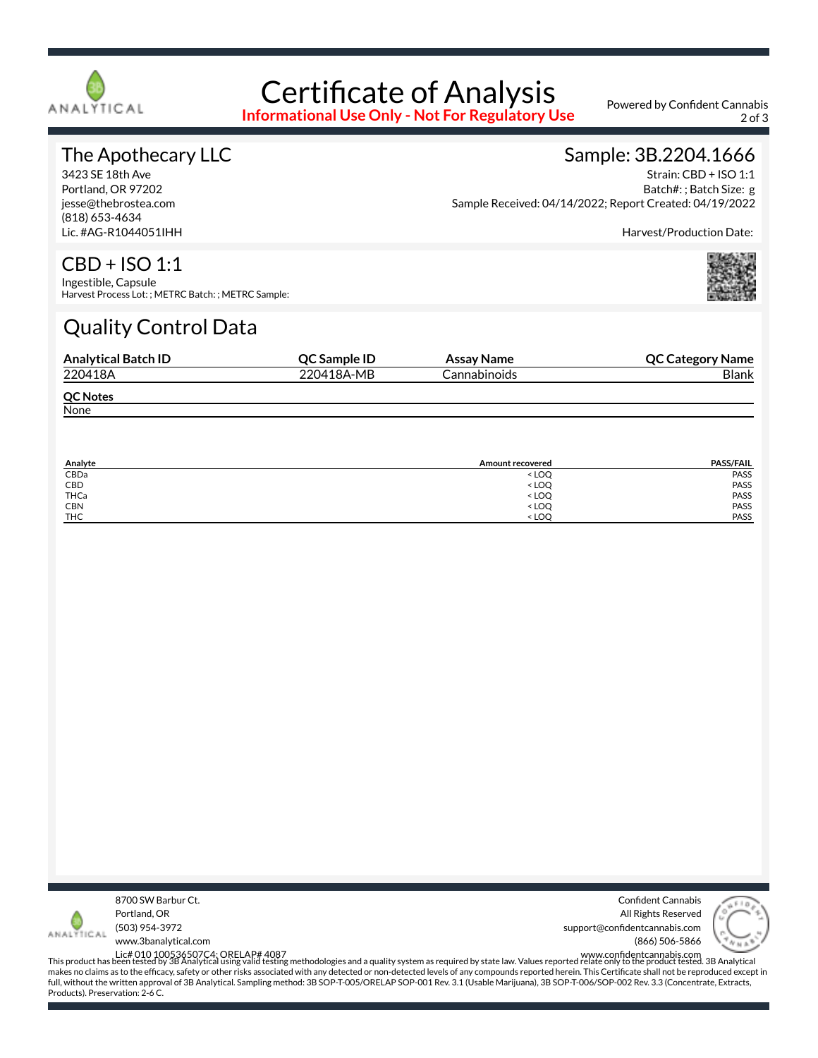

# Certificate of Analysis

**Informational Use Only - Not For Regulatory Use**

Powered by Confident Cannabis 2 of 3

#### The Apothecary LLC

3423 SE 18th Ave Portland, OR 97202 jesse@thebrostea.com (818) 653-4634 Lic. #AG-R1044051IHH

### Sample: 3B.2204.1666

Strain: CBD + ISO 1:1 Batch#: ; Batch Size: g Sample Received: 04/14/2022; Report Created: 04/19/2022

Harvest/Production Date:

# CBD + ISO 1:1

Ingestible, Capsule Harvest Process Lot: ; METRC Batch: ; METRC Sample:

# Quality Control Data

| <b>Analytical Batch ID</b> | <b>OC Sample ID</b> | Assay Name   | <b>QC Category Name</b> |
|----------------------------|---------------------|--------------|-------------------------|
| 220418A                    | 220418A-MB          | Cannabinoids | <b>Blank</b>            |
| <b>QC Notes</b>            |                     |              |                         |
| None                       |                     |              |                         |

| Analyte    | Amount recovered                 | <b>PASS/FAIL</b> |
|------------|----------------------------------|------------------|
| CBDa       | < LOO                            | PASS             |
| CBD        | <b>LOQ</b>                       | PASS             |
| THCa       | < LOQ                            | PASS             |
| <b>CBN</b> | < LOQ                            | PASS             |
| <b>THC</b> | <loo< td=""><td>PASS</td></loo<> | PASS             |



Confident Cannabis All Rights Reserved support@confidentcannabis.com (866) 506-5866



www.3banalytical.com

Lic# 010 100536507C4; ORELAP# 4087<br>This product has been tested by 3B Analytical using valid testing methodologies and a quality system as required by state law. Values reported relate only to the product tested. 3B Analyt makes no claims as to the efficacy, safety or other risks associated with any detected or non-detected levels of any compounds reported herein. This Certificate shall not be reproduced except in full, without the written approval of 3B Analytical. Sampling method: 3B SOP-T-005/ORELAP SOP-001 Rev. 3.1 (Usable Marijuana), 3B SOP-T-006/SOP-002 Rev. 3.3 (Concentrate, Extracts, Products). Preservation: 2-6 C.